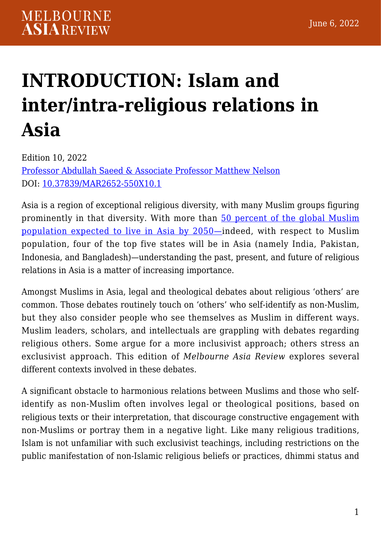## **[INTRODUCTION: Islam and](https://melbourneasiareview.edu.au/introduction-islam-and-inter-intra-religious-relations-in-asia/) [inter/intra-religious relations in](https://melbourneasiareview.edu.au/introduction-islam-and-inter-intra-religious-relations-in-asia/) [Asia](https://melbourneasiareview.edu.au/introduction-islam-and-inter-intra-religious-relations-in-asia/)**

Edition 10, 2022 Professor Abdullah Saeed & Associate Professor Matthew Nelson DOI: 10.37839/MAR2652-550X10.1

Asia is a region of exceptional religious diversity, with many Muslim groups figuring prominently in that diversity. With more than [50 percent of the global Muslim](https://www.pewresearch.org/religion/2015/04/02/muslims/) [population expected to live in Asia by 2050—](https://www.pewresearch.org/religion/2015/04/02/muslims/)indeed, with respect to Muslim population, four of the top five states will be in Asia (namely India, Pakistan, Indonesia, and Bangladesh)—understanding the past, present, and future of religious relations in Asia is a matter of increasing importance.

Amongst Muslims in Asia, legal and theological debates about religious 'others' are common. Those debates routinely touch on 'others' who self-identify as non-Muslim, but they also consider people who see themselves as Muslim in different ways. Muslim leaders, scholars, and intellectuals are grappling with debates regarding religious others. Some argue for a more inclusivist approach; others stress an exclusivist approach. This edition of *Melbourne Asia Review* explores several different contexts involved in these debates.

A significant obstacle to harmonious relations between Muslims and those who selfidentify as non-Muslim often involves legal or theological positions, based on religious texts or their interpretation, that discourage constructive engagement with non-Muslims or portray them in a negative light. Like many religious traditions, Islam is not unfamiliar with such exclusivist teachings, including restrictions on the public manifestation of non-Islamic religious beliefs or practices, dhimmi status and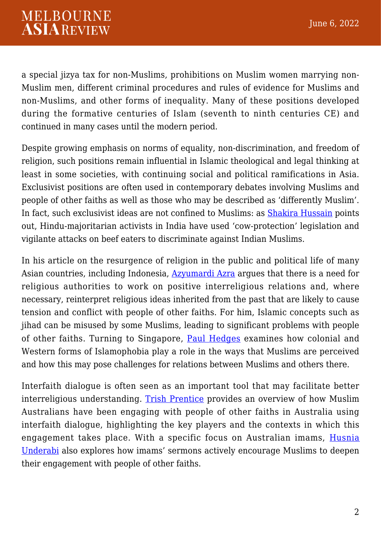a special jizya tax for non-Muslims, prohibitions on Muslim women marrying non-Muslim men, different criminal procedures and rules of evidence for Muslims and non-Muslims, and other forms of inequality. Many of these positions developed during the formative centuries of Islam (seventh to ninth centuries CE) and continued in many cases until the modern period.

Despite growing emphasis on norms of equality, non-discrimination, and freedom of religion, such positions remain influential in Islamic theological and legal thinking at least in some societies, with continuing social and political ramifications in Asia. Exclusivist positions are often used in contemporary debates involving Muslims and people of other faiths as well as those who may be described as 'differently Muslim'. In fact, such exclusivist ideas are not confined to Muslims: as [Shakira Hussain](https://melbourneasiareview.edu.au/toxic-gastronationalism-in-india/) points out, Hindu-majoritarian activists in India have used 'cow-protection' legislation and vigilante attacks on beef eaters to discriminate against Indian Muslims.

In his article on the resurgence of religion in the public and political life of many Asian countries, including Indonesia, **[Azyumardi Azra](https://melbourneasiareview.edu.au/many-asian-nations-are-experiencing-a-revival-of-religion-in-public-and-political-life/)** argues that there is a need for religious authorities to work on positive interreligious relations and, where necessary, reinterpret religious ideas inherited from the past that are likely to cause tension and conflict with people of other faiths. For him, Islamic concepts such as jihad can be misused by some Muslims, leading to significant problems with people of other faiths. Turning to Singapore, [Paul Hedges](https://melbourneasiareview.edu.au/islamophobia-in-singapore-and-vs-western-islamophobia-the-state-colonialism-and-the-muslim-experience/) examines how colonial and Western forms of Islamophobia play a role in the ways that Muslims are perceived and how this may pose challenges for relations between Muslims and others there.

Interfaith dialogue is often seen as an important tool that may facilitate better interreligious understanding. [Trish Prentice](https://melbourneasiareview.edu.au/interfaith-dialogue-in-australia-a-brief-overview-of-the-contributions-of-muslim-australians/) provides an overview of how Muslim Australians have been engaging with people of other faiths in Australia using interfaith dialogue, highlighting the key players and the contexts in which this engagement takes place. With a specific focus on Australian imams, [Husnia](https://melbourneasiareview.edu.au/sydneys-imams-and-engagement-with-the-religious-other-sermons-after-the-lindt-cafe-siege/) [Underabi](https://melbourneasiareview.edu.au/sydneys-imams-and-engagement-with-the-religious-other-sermons-after-the-lindt-cafe-siege/) also explores how imams' sermons actively encourage Muslims to deepen their engagement with people of other faiths.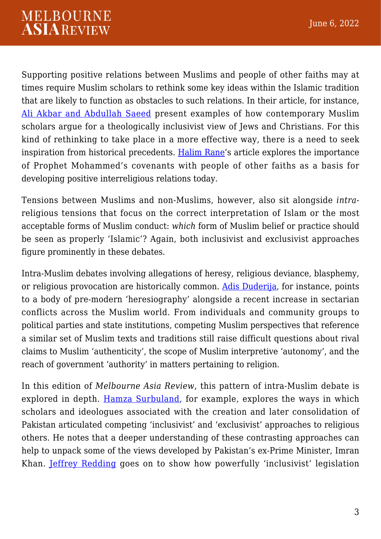Supporting positive relations between Muslims and people of other faiths may at times require Muslim scholars to rethink some key ideas within the Islamic tradition that are likely to function as obstacles to such relations. In their article, for instance, [Ali Akbar and Abdullah Saeed](https://melbourneasiareview.edu.au/emerging-trend-of-theological-inclusivism-in-contemporary-muslim-thought-some-key-examples/) present examples of how contemporary Muslim scholars argue for a theologically inclusivist view of Jews and Christians. For this kind of rethinking to take place in a more effective way, there is a need to seek inspiration from historical precedents. [Halim Rane](https://melbourneasiareview.edu.au/peaceful-interreligious-relations-in-islam-derive-from-covenants-and-treaties/)'s article explores the importance of Prophet Mohammed's covenants with people of other faiths as a basis for developing positive interreligious relations today.

Tensions between Muslims and non-Muslims, however, also sit alongside *intra*religious tensions that focus on the correct interpretation of Islam or the most acceptable forms of Muslim conduct: *which* form of Muslim belief or practice should be seen as properly 'Islamic'? Again, both inclusivist and exclusivist approaches figure prominently in these debates.

Intra-Muslim debates involving allegations of heresy, religious deviance, blasphemy, or religious provocation are historically common. [Adis Duderija](https://melbourneasiareview.edu.au/the-muslim-and-religious-other-reflections-on-early-islam-and-beyond-from-the-perspective-of-contemporary-scholarship/), for instance, points to a body of pre-modern 'heresiography' alongside a recent increase in sectarian conflicts across the Muslim world. From individuals and community groups to political parties and state institutions, competing Muslim perspectives that reference a similar set of Muslim texts and traditions still raise difficult questions about rival claims to Muslim 'authenticity', the scope of Muslim interpretive 'autonomy', and the reach of government 'authority' in matters pertaining to religion.

In this edition of *Melbourne Asia Review*, this pattern of intra-Muslim debate is explored in depth. [Hamza Surbuland,](https://melbourneasiareview.edu.au/political-islams-in-the-pakistani-context-inclusionary-and-exclusionary/) for example, explores the ways in which scholars and ideologues associated with the creation and later consolidation of Pakistan articulated competing 'inclusivist' and 'exclusivist' approaches to religious others. He notes that a deeper understanding of these contrasting approaches can help to unpack some of the views developed by Pakistan's ex-Prime Minister, Imran Khan. [Jeffrey Redding](https://melbourneasiareview.edu.au/islamic-challenges-to-pakistans-transgender-rights-law/) goes on to show how powerfully 'inclusivist' legislation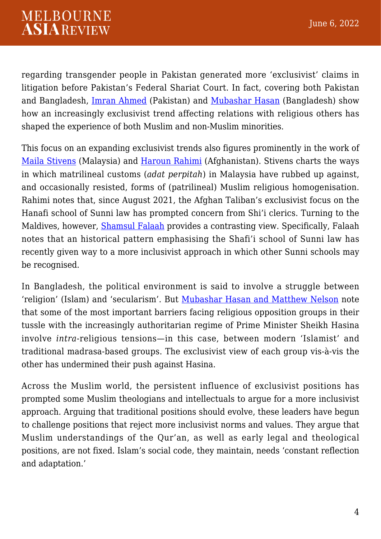regarding transgender people in Pakistan generated more 'exclusivist' claims in litigation before Pakistan's Federal Shariat Court. In fact, covering both Pakistan and Bangladesh, *Imran Ahmed* (Pakistan) and *[Mubashar Hasan](https://melbourneasiareview.edu.au/what-is-islam-the-highly-contested-debate-about-islam-in-bangladeshi-politics-and-culture/)* (Bangladesh) show how an increasingly exclusivist trend affecting relations with religious others has shaped the experience of both Muslim and non-Muslim minorities.

This focus on an expanding exclusivist trends also figures prominently in the work of [Maila Stivens](https://melbourneasiareview.edu.au/malaysian-matriliny-past-present-and-future/) (Malaysia) and [Haroun Rahimi](https://melbourneasiareview.edu.au/afghanistans-laws-and-legal-institutions-under-the-taliban/) (Afghanistan). Stivens charts the ways in which matrilineal customs (*adat perpitah*) in Malaysia have rubbed up against, and occasionally resisted, forms of (patrilineal) Muslim religious homogenisation. Rahimi notes that, since August 2021, the Afghan Taliban's exclusivist focus on the Hanafi school of Sunni law has prompted concern from Shi'i clerics. Turning to the Maldives, however, [Shamsul Falaah](https://melbourneasiareview.edu.au/how-the-law-in-the-maldives-paved-the-way-for-a-sunni-legal-tradition/) provides a contrasting view. Specifically, Falaah notes that an historical pattern emphasising the Shafi'i school of Sunni law has recently given way to a more inclusivist approach in which other Sunni schools may be recognised.

In Bangladesh, the political environment is said to involve a struggle between 'religion' (Islam) and 'secularism'. But [Mubashar Hasan and Matthew Nelson](https://melbourneasiareview.edu.au/when-crackdowns-and-cooptation-fail-what-constrains-religious-opposition-forces-in-bangladesh/) note that some of the most important barriers facing religious opposition groups in their tussle with the increasingly authoritarian regime of Prime Minister Sheikh Hasina involve *intra*-religious tensions—in this case, between modern 'Islamist' and traditional madrasa-based groups. The exclusivist view of each group vis-à-vis the other has undermined their push against Hasina.

Across the Muslim world, the persistent influence of exclusivist positions has prompted some Muslim theologians and intellectuals to argue for a more inclusivist approach. Arguing that traditional positions should evolve, these leaders have begun to challenge positions that reject more inclusivist norms and values. They argue that Muslim understandings of the Qur'an, as well as early legal and theological positions, are not fixed. Islam's social code, they maintain, needs 'constant reflection and adaptation.'